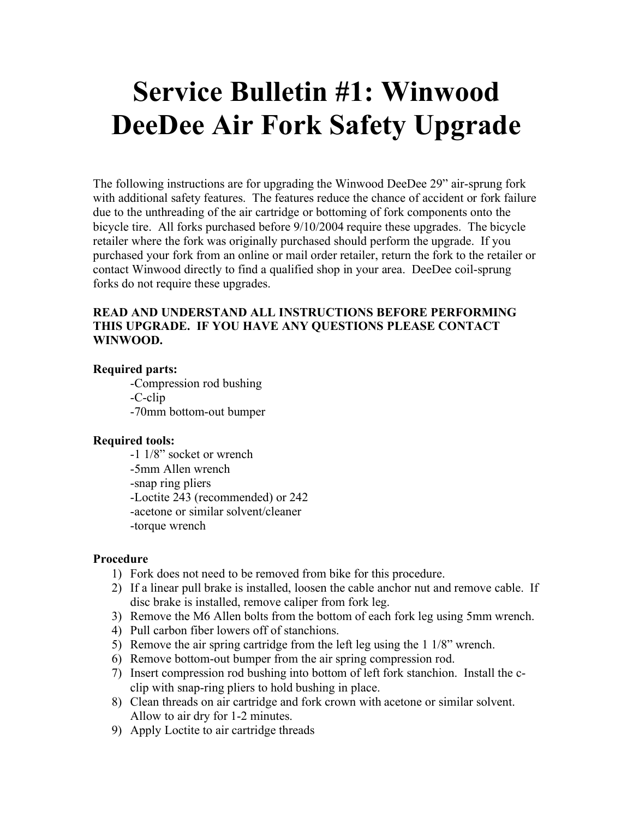# **Service Bulletin #1: Winwood DeeDee Air Fork Safety Upgrade**

The following instructions are for upgrading the Winwood DeeDee 29" air-sprung fork with additional safety features. The features reduce the chance of accident or fork failure due to the unthreading of the air cartridge or bottoming of fork components onto the bicycle tire. All forks purchased before 9/10/2004 require these upgrades. The bicycle retailer where the fork was originally purchased should perform the upgrade. If you purchased your fork from an online or mail order retailer, return the fork to the retailer or contact Winwood directly to find a qualified shop in your area. DeeDee coil-sprung forks do not require these upgrades.

# **READ AND UNDERSTAND ALL INSTRUCTIONS BEFORE PERFORMING THIS UPGRADE. IF YOU HAVE ANY QUESTIONS PLEASE CONTACT WINWOOD.**

## **Required parts:**

 -Compression rod bushing -C-clip -70mm bottom-out bumper

### **Required tools:**

 -1 1/8" socket or wrench -5mm Allen wrench -snap ring pliers -Loctite 243 (recommended) or 242 -acetone or similar solvent/cleaner -torque wrench

### **Procedure**

- 1) Fork does not need to be removed from bike for this procedure.
- 2) If a linear pull brake is installed, loosen the cable anchor nut and remove cable. If disc brake is installed, remove caliper from fork leg.
- 3) Remove the M6 Allen bolts from the bottom of each fork leg using 5mm wrench.
- 4) Pull carbon fiber lowers off of stanchions.
- 5) Remove the air spring cartridge from the left leg using the 1 1/8" wrench.
- 6) Remove bottom-out bumper from the air spring compression rod.
- 7) Insert compression rod bushing into bottom of left fork stanchion. Install the cclip with snap-ring pliers to hold bushing in place.
- 8) Clean threads on air cartridge and fork crown with acetone or similar solvent. Allow to air dry for 1-2 minutes.
- 9) Apply Loctite to air cartridge threads